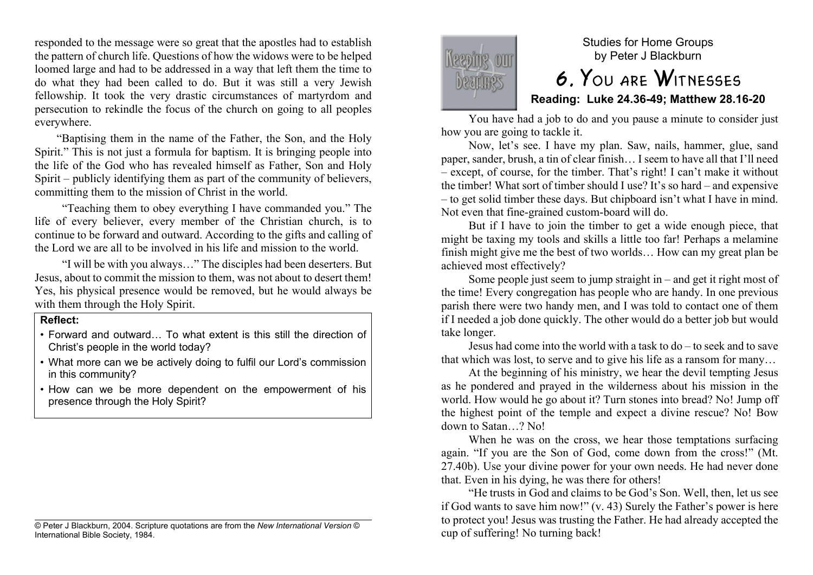responded to the message were so great that the apostles had to establish the pattern of church life. Questions of how the widows were to be helped loomed large and had to be addressed in a way that left them the time to do what they had been called to do. But it was still a very Jewish fellowship. It took the very drastic circumstances of martyrdom and persecution to rekindle the focus of the church on going to all peoples everywhere.

"Baptising them in the name of the Father, the Son, and the Holy Spirit." This is not just a formula for baptism. It is bringing people into the life of the God who has revealed himself as Father, Son and Holy Spirit – publicly identifying them as part of the community of believers, committing them to the mission of Christ in the world.

"Teaching them to obey everything I have commanded you." The life of every believer, every member of the Christian church, is to continue to be forward and outward. According to the gifts and calling of the Lord we are all to be involved in his life and mission to the world.

"I will be with you always…" The disciples had been deserters. But Jesus, about to commit the mission to them, was not about to desert them! Yes, his physical presence would be removed, but he would always be with them through the Holy Spirit.

#### **Reflect:**

- Forward and outward… To what extent is this still the direction of Christ's people in the world today?
- What more can we be actively doing to fulfil our Lord's commission in this community?
- How can we be more dependent on the empowerment of his presence through the Holy Spirit?





Studies for Home Groups by Peter J Blackburn

# 6. You are Witnesses **Reading: Luke 24.36-49; Matthew 28.16-20**

You have had a job to do and you pause a minute to consider just how you are going to tackle it.

Now, let's see. I have my plan. Saw, nails, hammer, glue, sand paper, sander, brush, a tin of clear finish… I seem to have all that I'll need – except, of course, for the timber. That's right! I can't make it without the timber! What sort of timber should I use? It's so hard – and expensive – to get solid timber these days. But chipboard isn't what I have in mind. Not even that fine-grained custom-board will do.

But if I have to join the timber to get a wide enough piece, that might be taxing my tools and skills a little too far! Perhaps a melamine finish might give me the best of two worlds… How can my great plan be achieved most effectively?

Some people just seem to jump straight in – and get it right most of the time! Every congregation has people who are handy. In one previous parish there were two handy men, and I was told to contact one of them if I needed a job done quickly. The other would do a better job but would take longer.

Jesus had come into the world with a task to do – to seek and to save that which was lost, to serve and to give his life as a ransom for many…

At the beginning of his ministry, we hear the devil tempting Jesus as he pondered and prayed in the wilderness about his mission in the world. How would he go about it? Turn stones into bread? No! Jump off the highest point of the temple and expect a divine rescue? No! Bow down to Satan…? No!

When he was on the cross, we hear those temptations surfacing again. "If you are the Son of God, come down from the cross!" (Mt. 27.40b). Use your divine power for your own needs. He had never done that. Even in his dying, he was there for others!

"He trusts in God and claims to be God's Son. Well, then, let us see if God wants to save him now!" (v. 43) Surely the Father's power is here to protect you! Jesus was trusting the Father. He had already accepted the cup of suffering! No turning back!